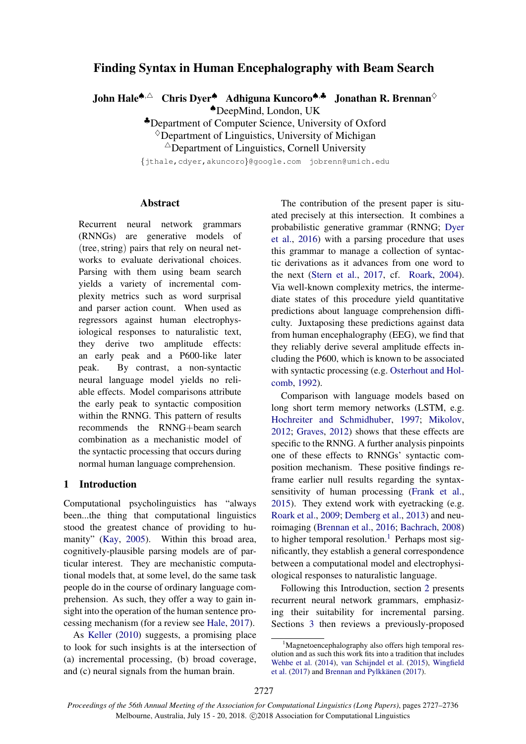# Finding Syntax in Human Encephalography with Beam Search

John Hale<sup>♠,△</sup> Chris Dyer<sup>♠</sup> Adhiguna Kuncoro<sup>♠,♣</sup> Jonathan R. Brennan<sup>◇</sup>

♠DeepMind, London, UK

♣Department of Computer Science, University of Oxford

 $\Diamond$ Department of Linguistics, University of Michigan

 $\triangle$ Department of Linguistics, Cornell University

{jthale,cdyer,akuncoro}@google.com jobrenn@umich.edu

## Abstract

Recurrent neural network grammars (RNNGs) are generative models of (tree,string) pairs that rely on neural networks to evaluate derivational choices. Parsing with them using beam search yields a variety of incremental complexity metrics such as word surprisal and parser action count. When used as regressors against human electrophysiological responses to naturalistic text, they derive two amplitude effects: an early peak and a P600-like later peak. By contrast, a non-syntactic neural language model yields no reliable effects. Model comparisons attribute the early peak to syntactic composition within the RNNG. This pattern of results recommends the RNNG+beam search combination as a mechanistic model of the syntactic processing that occurs during normal human language comprehension.

## 1 Introduction

Computational psycholinguistics has "always been...the thing that computational linguistics stood the greatest chance of providing to hu-manity" [\(Kay,](#page-8-0) [2005\)](#page-8-0). Within this broad area, cognitively-plausible parsing models are of particular interest. They are mechanistic computational models that, at some level, do the same task people do in the course of ordinary language comprehension. As such, they offer a way to gain insight into the operation of the human sentence processing mechanism (for a review see [Hale,](#page-8-1) [2017\)](#page-8-1).

As [Keller](#page-8-2) [\(2010\)](#page-8-2) suggests, a promising place to look for such insights is at the intersection of (a) incremental processing, (b) broad coverage, and (c) neural signals from the human brain.

The contribution of the present paper is situated precisely at this intersection. It combines a probabilistic generative grammar (RNNG; [Dyer](#page-8-3) [et al.,](#page-8-3) [2016\)](#page-8-3) with a parsing procedure that uses this grammar to manage a collection of syntactic derivations as it advances from one word to the next [\(Stern et al.,](#page-9-0) [2017,](#page-9-0) cf. [Roark,](#page-8-4) [2004\)](#page-8-4). Via well-known complexity metrics, the intermediate states of this procedure yield quantitative predictions about language comprehension difficulty. Juxtaposing these predictions against data from human encephalography (EEG), we find that they reliably derive several amplitude effects including the P600, which is known to be associated with syntactic processing (e.g. [Osterhout and Hol](#page-8-5)[comb,](#page-8-5) [1992\)](#page-8-5).

Comparison with language models based on long short term memory networks (LSTM, e.g. [Hochreiter and Schmidhuber,](#page-8-6) [1997;](#page-8-6) [Mikolov,](#page-8-7) [2012;](#page-8-7) [Graves,](#page-8-8) [2012\)](#page-8-8) shows that these effects are specific to the RNNG. A further analysis pinpoints one of these effects to RNNGs' syntactic composition mechanism. These positive findings reframe earlier null results regarding the syntaxsensitivity of human processing [\(Frank et al.,](#page-8-9) [2015\)](#page-8-9). They extend work with eyetracking (e.g. [Roark et al.,](#page-9-1) [2009;](#page-9-1) [Demberg et al.,](#page-8-10) [2013\)](#page-8-10) and neuroimaging [\(Brennan et al.,](#page-7-0) [2016;](#page-7-0) [Bachrach,](#page-7-1) [2008\)](#page-7-1) to higher temporal resolution.<sup>[1](#page-0-0)</sup> Perhaps most significantly, they establish a general correspondence between a computational model and electrophysiological responses to naturalistic language.

Following this Introduction, section [2](#page-1-0) presents recurrent neural network grammars, emphasizing their suitability for incremental parsing. Sections [3](#page-2-0) then reviews a previously-proposed

<span id="page-0-0"></span><sup>&</sup>lt;sup>1</sup>Magnetoencephalography also offers high temporal resolution and as such this work fits into a tradition that includes [Wehbe et al.](#page-9-2) [\(2014\)](#page-9-2), [van Schijndel et al.](#page-9-3) [\(2015\)](#page-9-3), [Wingfield](#page-9-4) [et al.](#page-9-4)  $(2017)$  and Brennan and Pylkkänen  $(2017)$ .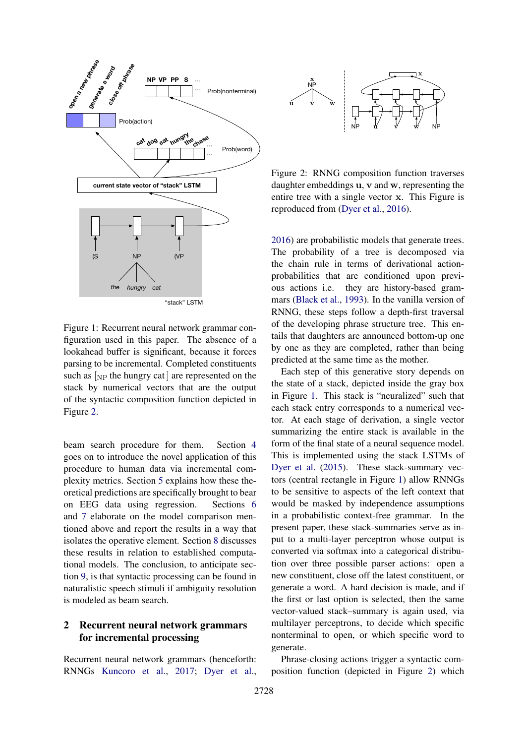<span id="page-1-2"></span>

Figure 1: Recurrent neural network grammar configuration used in this paper. The absence of a lookahead buffer is significant, because it forces parsing to be incremental. Completed constituents such as  $N_{\text{NP}}$  the hungry cat are represented on the stack by numerical vectors that are the output of the syntactic composition function depicted in Figure [2.](#page-1-1)

beam search procedure for them. Section [4](#page-3-0) goes on to introduce the novel application of this procedure to human data via incremental complexity metrics. Section [5](#page-3-1) explains how these theoretical predictions are specifically brought to bear on EEG data using regression. Sections [6](#page-4-0) and [7](#page-5-0) elaborate on the model comparison mentioned above and report the results in a way that isolates the operative element. Section [8](#page-5-1) discusses these results in relation to established computational models. The conclusion, to anticipate section [9,](#page-6-0) is that syntactic processing can be found in naturalistic speech stimuli if ambiguity resolution is modeled as beam search.

# <span id="page-1-0"></span>2 Recurrent neural network grammars for incremental processing

Recurrent neural network grammars (henceforth: RNNGs [Kuncoro et al.,](#page-8-11) [2017;](#page-8-11) [Dyer et al.,](#page-8-3)

<span id="page-1-1"></span>

Figure 2: RNNG composition function traverses daughter embeddings u, v and w, representing the entire tree with a single vector x. This Figure is reproduced from [\(Dyer et al.,](#page-8-3) [2016\)](#page-8-3).

[2016\)](#page-8-3) are probabilistic models that generate trees. The probability of a tree is decomposed via the chain rule in terms of derivational actionprobabilities that are conditioned upon previous actions i.e. they are history-based grammars [\(Black et al.,](#page-7-3) [1993\)](#page-7-3). In the vanilla version of RNNG, these steps follow a depth-first traversal of the developing phrase structure tree. This entails that daughters are announced bottom-up one by one as they are completed, rather than being predicted at the same time as the mother.

Each step of this generative story depends on the state of a stack, depicted inside the gray box in Figure [1.](#page-1-2) This stack is "neuralized" such that each stack entry corresponds to a numerical vector. At each stage of derivation, a single vector summarizing the entire stack is available in the form of the final state of a neural sequence model. This is implemented using the stack LSTMs of [Dyer et al.](#page-8-12) [\(2015\)](#page-8-12). These stack-summary vectors (central rectangle in Figure [1\)](#page-1-2) allow RNNGs to be sensitive to aspects of the left context that would be masked by independence assumptions in a probabilistic context-free grammar. In the present paper, these stack-summaries serve as input to a multi-layer perceptron whose output is converted via softmax into a categorical distribution over three possible parser actions: open a new constituent, close off the latest constituent, or generate a word. A hard decision is made, and if the first or last option is selected, then the same vector-valued stack–summary is again used, via multilayer perceptrons, to decide which specific nonterminal to open, or which specific word to generate.

Phrase-closing actions trigger a syntactic composition function (depicted in Figure [2\)](#page-1-1) which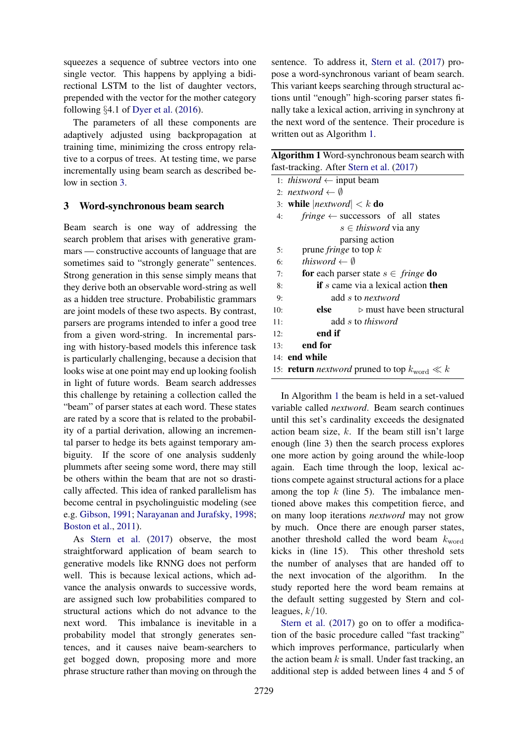squeezes a sequence of subtree vectors into one single vector. This happens by applying a bidirectional LSTM to the list of daughter vectors, prepended with the vector for the mother category following §4.1 of [Dyer et al.](#page-8-3) [\(2016\)](#page-8-3).

The parameters of all these components are adaptively adjusted using backpropagation at training time, minimizing the cross entropy relative to a corpus of trees. At testing time, we parse incrementally using beam search as described below in section [3.](#page-2-0)

# <span id="page-2-0"></span>3 Word-synchronous beam search

Beam search is one way of addressing the search problem that arises with generative grammars — constructive accounts of language that are sometimes said to "strongly generate" sentences. Strong generation in this sense simply means that they derive both an observable word-string as well as a hidden tree structure. Probabilistic grammars are joint models of these two aspects. By contrast, parsers are programs intended to infer a good tree from a given word-string. In incremental parsing with history-based models this inference task is particularly challenging, because a decision that looks wise at one point may end up looking foolish in light of future words. Beam search addresses this challenge by retaining a collection called the "beam" of parser states at each word. These states are rated by a score that is related to the probability of a partial derivation, allowing an incremental parser to hedge its bets against temporary ambiguity. If the score of one analysis suddenly plummets after seeing some word, there may still be others within the beam that are not so drastically affected. This idea of ranked parallelism has become central in psycholinguistic modeling (see e.g. [Gibson,](#page-8-13) [1991;](#page-8-13) [Narayanan and Jurafsky,](#page-8-14) [1998;](#page-8-14) [Boston et al.,](#page-7-4) [2011\)](#page-7-4).

As [Stern et al.](#page-9-0) [\(2017\)](#page-9-0) observe, the most straightforward application of beam search to generative models like RNNG does not perform well. This is because lexical actions, which advance the analysis onwards to successive words, are assigned such low probabilities compared to structural actions which do not advance to the next word. This imbalance is inevitable in a probability model that strongly generates sentences, and it causes naive beam-searchers to get bogged down, proposing more and more phrase structure rather than moving on through the

sentence. To address it, [Stern et al.](#page-9-0) [\(2017\)](#page-9-0) propose a word-synchronous variant of beam search. This variant keeps searching through structural actions until "enough" high-scoring parser states finally take a lexical action, arriving in synchrony at the next word of the sentence. Their procedure is written out as Algorithm [1.](#page-2-1)

<span id="page-2-1"></span>

| Algorithm 1 Word-synchronous beam search with  |
|------------------------------------------------|
| fast-tracking. After Stern et al. (2017)       |
| 1: <i>thisword</i> $\leftarrow$ input beam     |
| $\mathbf{r}$ and $\mathbf{r}$ and $\mathbf{r}$ |

|     | 2: nextword $\leftarrow \emptyset$                               |  |  |  |  |  |  |
|-----|------------------------------------------------------------------|--|--|--|--|--|--|
|     | 3: while $ nextword  < k$ do                                     |  |  |  |  |  |  |
| 4:  | fringe $\leftarrow$ successors of all states                     |  |  |  |  |  |  |
|     | $s \in$ thisword via any                                         |  |  |  |  |  |  |
|     | parsing action                                                   |  |  |  |  |  |  |
| 5:  | prune <i>fringe</i> to top $k$                                   |  |  |  |  |  |  |
| 6:  | thisword $\leftarrow \emptyset$                                  |  |  |  |  |  |  |
| 7:  | <b>for</b> each parser state $s \in \text{ fringe}$ <b>do</b>    |  |  |  |  |  |  |
| 8:  | <b>if</b> s came via a lexical action <b>then</b>                |  |  |  |  |  |  |
| 9:  | add s to nextword                                                |  |  |  |  |  |  |
| 10: | else<br>$\triangleright$ must have been structural               |  |  |  |  |  |  |
| 11: | add s to thisword                                                |  |  |  |  |  |  |
| 12: | end if                                                           |  |  |  |  |  |  |
| 13: | end for                                                          |  |  |  |  |  |  |
|     | $14:$ end while                                                  |  |  |  |  |  |  |
|     | 15: <b>return</b> <i>nextword</i> pruned to top $k_{word} \ll k$ |  |  |  |  |  |  |

In Algorithm [1](#page-2-1) the beam is held in a set-valued variable called *nextword*. Beam search continues until this set's cardinality exceeds the designated action beam size,  $k$ . If the beam still isn't large enough (line 3) then the search process explores one more action by going around the while-loop again. Each time through the loop, lexical actions compete against structural actions for a place among the top  $k$  (line 5). The imbalance mentioned above makes this competition fierce, and on many loop iterations *nextword* may not grow by much. Once there are enough parser states, another threshold called the word beam  $k_{word}$ kicks in (line 15). This other threshold sets the number of analyses that are handed off to the next invocation of the algorithm. In the study reported here the word beam remains at the default setting suggested by Stern and colleagues,  $k/10$ .

[Stern et al.](#page-9-0) [\(2017\)](#page-9-0) go on to offer a modification of the basic procedure called "fast tracking" which improves performance, particularly when the action beam  $k$  is small. Under fast tracking, an additional step is added between lines 4 and 5 of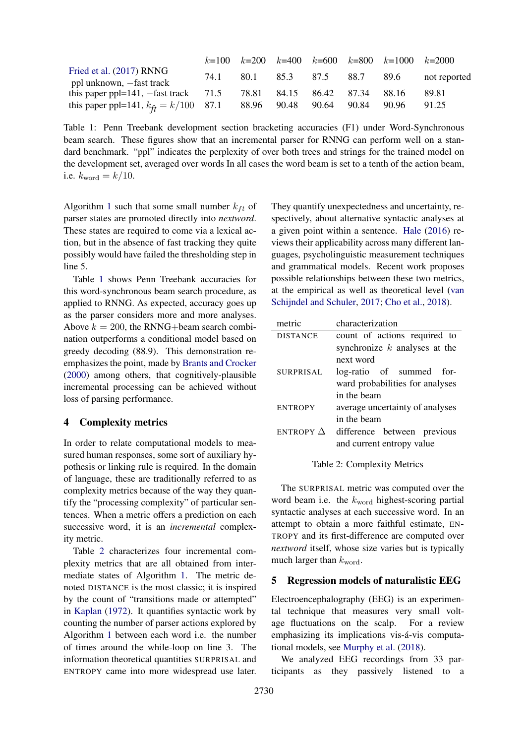<span id="page-3-2"></span>

|                                                      |      |                               |      | $k=100$ $k=200$ $k=400$ $k=600$ $k=800$ $k=1000$ $k=2000$ |              |
|------------------------------------------------------|------|-------------------------------|------|-----------------------------------------------------------|--------------|
| Fried et al. (2017) RNNG<br>ppl unknown, -fast track | 74.1 | 80.1 85.3 87.5                | 88.7 | - 89.6                                                    | not reported |
| this paper ppl=141, $-$ fast track 71.5              |      | 78.81 84.15 86.42 87.34 88.16 |      |                                                           | 89.81        |
| this paper ppl=141, $k_{\hat{H}} = k/100$ 87.1       |      | 88.96 90.48 90.64 90.84       |      | 90.96                                                     | 91.25        |

Table 1: Penn Treebank development section bracketing accuracies (F1) under Word-Synchronous beam search. These figures show that an incremental parser for RNNG can perform well on a standard benchmark. "ppl" indicates the perplexity of over both trees and strings for the trained model on the development set, averaged over words In all cases the word beam is set to a tenth of the action beam, i.e.  $k_{\text{word}} = k/10$ .

Algorithm [1](#page-2-1) such that some small number  $k_{ft}$  of parser states are promoted directly into *nextword*. These states are required to come via a lexical action, but in the absence of fast tracking they quite possibly would have failed the thresholding step in line 5.

Table [1](#page-3-2) shows Penn Treebank accuracies for this word-synchronous beam search procedure, as applied to RNNG. As expected, accuracy goes up as the parser considers more and more analyses. Above  $k = 200$ , the RNNG+beam search combination outperforms a conditional model based on greedy decoding (88.9). This demonstration reemphasizes the point, made by [Brants and Crocker](#page-7-5) [\(2000\)](#page-7-5) among others, that cognitively-plausible incremental processing can be achieved without loss of parsing performance.

# <span id="page-3-0"></span>4 Complexity metrics

In order to relate computational models to measured human responses, some sort of auxiliary hypothesis or linking rule is required. In the domain of language, these are traditionally referred to as complexity metrics because of the way they quantify the "processing complexity" of particular sentences. When a metric offers a prediction on each successive word, it is an *incremental* complexity metric.

Table [2](#page-3-3) characterizes four incremental complexity metrics that are all obtained from intermediate states of Algorithm [1.](#page-2-1) The metric denoted DISTANCE is the most classic; it is inspired by the count of "transitions made or attempted" in [Kaplan](#page-8-16) [\(1972\)](#page-8-16). It quantifies syntactic work by counting the number of parser actions explored by Algorithm [1](#page-2-1) between each word i.e. the number of times around the while-loop on line 3. The information theoretical quantities SURPRISAL and ENTROPY came into more widespread use later.

They quantify unexpectedness and uncertainty, respectively, about alternative syntactic analyses at a given point within a sentence. [Hale](#page-8-17) [\(2016\)](#page-8-17) reviews their applicability across many different languages, psycholinguistic measurement techniques and grammatical models. Recent work proposes possible relationships between these two metrics, at the empirical as well as theoretical level [\(van](#page-9-5) [Schijndel and Schuler,](#page-9-5) [2017;](#page-9-5) [Cho et al.,](#page-7-6) [2018\)](#page-7-6).

<span id="page-3-3"></span>

| metric           | characterization                |  |  |  |  |
|------------------|---------------------------------|--|--|--|--|
| <b>DISTANCE</b>  | count of actions required to    |  |  |  |  |
|                  | synchronize $k$ analyses at the |  |  |  |  |
|                  | next word                       |  |  |  |  |
| <b>SURPRISAL</b> | log-ratio of summed<br>for-     |  |  |  |  |
|                  | ward probabilities for analyses |  |  |  |  |
|                  | in the beam                     |  |  |  |  |
| <b>ENTROPY</b>   | average uncertainty of analyses |  |  |  |  |
|                  | in the beam                     |  |  |  |  |
| ENTROPY $\Delta$ | difference between previous     |  |  |  |  |
|                  | and current entropy value       |  |  |  |  |
|                  |                                 |  |  |  |  |

Table 2: Complexity Metrics

The SURPRISAL metric was computed over the word beam i.e. the  $k_{word}$  highest-scoring partial syntactic analyses at each successive word. In an attempt to obtain a more faithful estimate, EN-TROPY and its first-difference are computed over *nextword* itself, whose size varies but is typically much larger than  $k_{\text{word}}$ .

#### <span id="page-3-1"></span>5 Regression models of naturalistic EEG

Electroencephalography (EEG) is an experimental technique that measures very small voltage fluctuations on the scalp. For a review emphasizing its implications vis-á-vis computational models, see [Murphy et al.](#page-8-18) [\(2018\)](#page-8-18).

We analyzed EEG recordings from 33 participants as they passively listened to a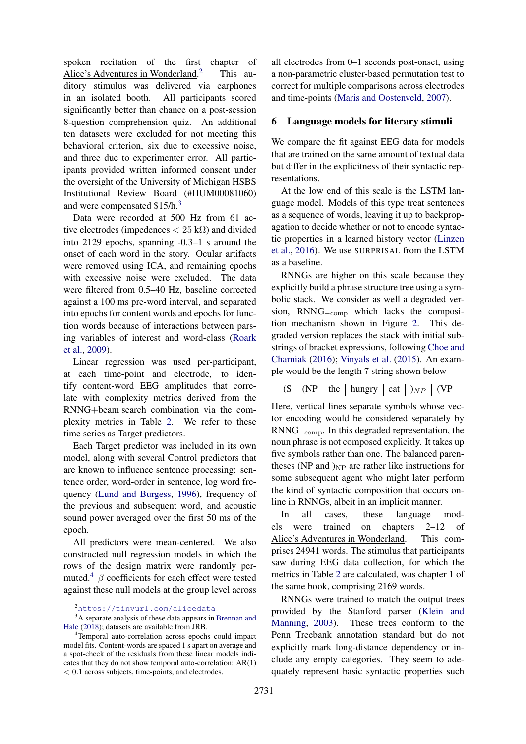spoken recitation of the first chapter of Alice's Adventures in Wonderland. This auditory stimulus was delivered via earphones in an isolated booth. All participants scored significantly better than chance on a post-session 8-question comprehension quiz. An additional ten datasets were excluded for not meeting this behavioral criterion, six due to excessive noise, and three due to experimenter error. All participants provided written informed consent under the oversight of the University of Michigan HSBS Institutional Review Board (#HUM00081060) and were compensated \$15/h.<sup>[3](#page-4-2)</sup>

Data were recorded at 500 Hz from 61 active electrodes (impedences  $< 25 \text{ k}\Omega$ ) and divided into 2129 epochs, spanning -0.3–1 s around the onset of each word in the story. Ocular artifacts were removed using ICA, and remaining epochs with excessive noise were excluded. The data were filtered from 0.5–40 Hz, baseline corrected against a 100 ms pre-word interval, and separated into epochs for content words and epochs for function words because of interactions between parsing variables of interest and word-class [\(Roark](#page-9-1) [et al.,](#page-9-1) [2009\)](#page-9-1).

Linear regression was used per-participant, at each time-point and electrode, to identify content-word EEG amplitudes that correlate with complexity metrics derived from the RNNG+beam search combination via the complexity metrics in Table [2.](#page-3-3) We refer to these time series as Target predictors.

Each Target predictor was included in its own model, along with several Control predictors that are known to influence sentence processing: sentence order, word-order in sentence, log word frequency [\(Lund and Burgess,](#page-8-19) [1996\)](#page-8-19), frequency of the previous and subsequent word, and acoustic sound power averaged over the first 50 ms of the epoch.

All predictors were mean-centered. We also constructed null regression models in which the rows of the design matrix were randomly per-muted.<sup>[4](#page-4-3)</sup>  $\beta$  coefficients for each effect were tested against these null models at the group level across all electrodes from 0–1 seconds post-onset, using a non-parametric cluster-based permutation test to correct for multiple comparisons across electrodes and time-points [\(Maris and Oostenveld,](#page-8-20) [2007\)](#page-8-20).

#### <span id="page-4-0"></span>6 Language models for literary stimuli

We compare the fit against EEG data for models that are trained on the same amount of textual data but differ in the explicitness of their syntactic representations.

At the low end of this scale is the LSTM language model. Models of this type treat sentences as a sequence of words, leaving it up to backpropagation to decide whether or not to encode syntactic properties in a learned history vector [\(Linzen](#page-8-21) [et al.,](#page-8-21) [2016\)](#page-8-21). We use SURPRISAL from the LSTM as a baseline.

RNNGs are higher on this scale because they explicitly build a phrase structure tree using a symbolic stack. We consider as well a degraded version, RNNG−comp which lacks the composition mechanism shown in Figure [2.](#page-1-1) This degraded version replaces the stack with initial substrings of bracket expressions, following [Choe and](#page-8-22) [Charniak](#page-8-22) [\(2016\)](#page-8-22); [Vinyals et al.](#page-9-6) [\(2015\)](#page-9-6). An example would be the length 7 string shown below

 $(S \mid (NP \mid the \mid hungry \mid cat \mid)_{NP} \mid (VP$ 

Here, vertical lines separate symbols whose vector encoding would be considered separately by RNNG−comp. In this degraded representation, the noun phrase is not composed explicitly. It takes up five symbols rather than one. The balanced parentheses (NP and  $_{\rm NP}$  are rather like instructions for some subsequent agent who might later perform the kind of syntactic composition that occurs online in RNNGs, albeit in an implicit manner.

In all cases, these language models were trained on chapters 2–12 of Alice's Adventures in Wonderland. This comprises 24941 words. The stimulus that participants saw during EEG data collection, for which the metrics in Table [2](#page-3-3) are calculated, was chapter 1 of the same book, comprising 2169 words.

RNNGs were trained to match the output trees provided by the Stanford parser [\(Klein and](#page-8-23) [Manning,](#page-8-23) [2003\)](#page-8-23). These trees conform to the Penn Treebank annotation standard but do not explicitly mark long-distance dependency or include any empty categories. They seem to adequately represent basic syntactic properties such

<span id="page-4-2"></span><span id="page-4-1"></span><sup>2</sup><https://tinyurl.com/alicedata>

<sup>&</sup>lt;sup>3</sup>A separate analysis of these data appears in [Brennan and](#page-7-7) [Hale](#page-7-7) [\(2018\)](#page-7-7); datasets are available from JRB.

<span id="page-4-3"></span><sup>4</sup>Temporal auto-correlation across epochs could impact model fits. Content-words are spaced 1 s apart on average and a spot-check of the residuals from these linear models indicates that they do not show temporal auto-correlation: AR(1) < 0.1 across subjects, time-points, and electrodes.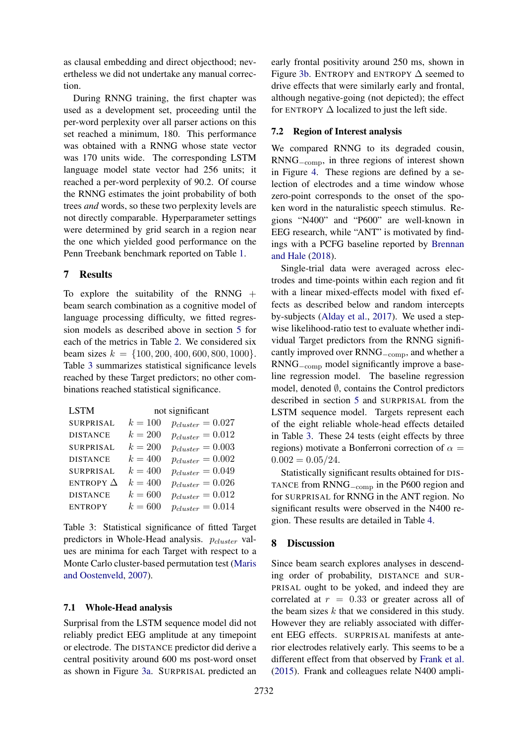as clausal embedding and direct objecthood; nevertheless we did not undertake any manual correction.

During RNNG training, the first chapter was used as a development set, proceeding until the per-word perplexity over all parser actions on this set reached a minimum, 180. This performance was obtained with a RNNG whose state vector was 170 units wide. The corresponding LSTM language model state vector had 256 units; it reached a per-word perplexity of 90.2. Of course the RNNG estimates the joint probability of both trees *and* words, so these two perplexity levels are not directly comparable. Hyperparameter settings were determined by grid search in a region near the one which yielded good performance on the Penn Treebank benchmark reported on Table [1.](#page-3-2)

## <span id="page-5-0"></span>7 Results

To explore the suitability of the RNNG  $+$ beam search combination as a cognitive model of language processing difficulty, we fitted regression models as described above in section [5](#page-3-1) for each of the metrics in Table [2.](#page-3-3) We considered six beam sizes  $k = \{100, 200, 400, 600, 800, 1000\}.$ Table [3](#page-5-2) summarizes statistical significance levels reached by these Target predictors; no other combinations reached statistical significance.

<span id="page-5-2"></span>

| <b>LSTM</b>      | not significant |                       |  |  |  |
|------------------|-----------------|-----------------------|--|--|--|
| <b>SURPRISAL</b> | $k = 100$       | $p_{cluster} = 0.027$ |  |  |  |
| <b>DISTANCE</b>  | $k = 200$       | $p_{cluster} = 0.012$ |  |  |  |
| <b>SURPRISAL</b> | $k = 200$       | $p_{cluster} = 0.003$ |  |  |  |
| <b>DISTANCE</b>  | $k = 400$       | $p_{cluster} = 0.002$ |  |  |  |
| <b>SURPRISAL</b> | $k = 400$       | $p_{cluster} = 0.049$ |  |  |  |
| ENTROPY $\Delta$ | $k = 400$       | $p_{cluster} = 0.026$ |  |  |  |
| <b>DISTANCE</b>  | $k = 600$       | $p_{cluster} = 0.012$ |  |  |  |
| <b>ENTROPY</b>   | $k=600$         | $p_{cluster} = 0.014$ |  |  |  |

Table 3: Statistical significance of fitted Target predictors in Whole-Head analysis.  $p_{cluster}$  values are minima for each Target with respect to a Monte Carlo cluster-based permutation test [\(Maris](#page-8-20) [and Oostenveld,](#page-8-20) [2007\)](#page-8-20).

### 7.1 Whole-Head analysis

Surprisal from the LSTM sequence model did not reliably predict EEG amplitude at any timepoint or electrode. The DISTANCE predictor did derive a central positivity around 600 ms post-word onset as shown in Figure [3a.](#page-6-1) SURPRISAL predicted an

early frontal positivity around 250 ms, shown in Figure [3b.](#page-6-1) ENTROPY and ENTROPY  $\Delta$  seemed to drive effects that were similarly early and frontal, although negative-going (not depicted); the effect for ENTROPY  $\Delta$  localized to just the left side.

## 7.2 Region of Interest analysis

We compared RNNG to its degraded cousin, RNNG−comp, in three regions of interest shown in Figure [4.](#page-6-2) These regions are defined by a selection of electrodes and a time window whose zero-point corresponds to the onset of the spoken word in the naturalistic speech stimulus. Regions "N400" and "P600" are well-known in EEG research, while "ANT" is motivated by findings with a PCFG baseline reported by [Brennan](#page-7-7) [and Hale](#page-7-7) [\(2018\)](#page-7-7).

Single-trial data were averaged across electrodes and time-points within each region and fit with a linear mixed-effects model with fixed effects as described below and random intercepts by-subjects [\(Alday et al.,](#page-7-8) [2017\)](#page-7-8). We used a stepwise likelihood-ratio test to evaluate whether individual Target predictors from the RNNG significantly improved over RNNG−comp, and whether a RNNG−comp model significantly improve a baseline regression model. The baseline regression model, denoted ∅, contains the Control predictors described in section [5](#page-3-1) and SURPRISAL from the LSTM sequence model. Targets represent each of the eight reliable whole-head effects detailed in Table [3.](#page-5-2) These 24 tests (eight effects by three regions) motivate a Bonferroni correction of  $\alpha =$  $0.002 = 0.05/24.$ 

Statistically significant results obtained for DIS-TANCE from RNNG<sub>−comp</sub> in the P600 region and for SURPRISAL for RNNG in the ANT region. No significant results were observed in the N400 region. These results are detailed in Table [4.](#page-7-9)

# <span id="page-5-1"></span>8 Discussion

Since beam search explores analyses in descending order of probability, DISTANCE and SUR-PRISAL ought to be yoked, and indeed they are correlated at  $r = 0.33$  or greater across all of the beam sizes  $k$  that we considered in this study. However they are reliably associated with different EEG effects. SURPRISAL manifests at anterior electrodes relatively early. This seems to be a different effect from that observed by [Frank et al.](#page-8-9) [\(2015\)](#page-8-9). Frank and colleagues relate N400 ampli-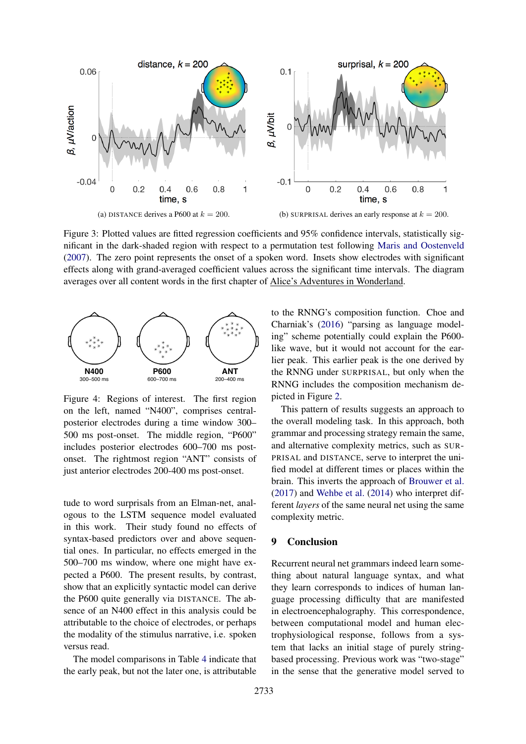<span id="page-6-1"></span>

Figure 3: Plotted values are fitted regression coefficients and 95% confidence intervals, statistically significant in the dark-shaded region with respect to a permutation test following [Maris and Oostenveld](#page-8-20) [\(2007\)](#page-8-20). The zero point represents the onset of a spoken word. Insets show electrodes with significant effects along with grand-averaged coefficient values across the significant time intervals. The diagram averages over all content words in the first chapter of Alice's Adventures in Wonderland.

<span id="page-6-2"></span>

Figure 4: Regions of interest. The first region on the left, named "N400", comprises centralposterior electrodes during a time window 300– 500 ms post-onset. The middle region, "P600" includes posterior electrodes 600–700 ms postonset. The rightmost region "ANT" consists of just anterior electrodes 200-400 ms post-onset.

tude to word surprisals from an Elman-net, analogous to the LSTM sequence model evaluated in this work. Their study found no effects of syntax-based predictors over and above sequential ones. In particular, no effects emerged in the 500–700 ms window, where one might have expected a P600. The present results, by contrast, show that an explicitly syntactic model can derive the P600 quite generally via DISTANCE. The absence of an N400 effect in this analysis could be attributable to the choice of electrodes, or perhaps the modality of the stimulus narrative, i.e. spoken versus read.

The model comparisons in Table [4](#page-7-9) indicate that the early peak, but not the later one, is attributable to the RNNG's composition function. Choe and Charniak's [\(2016\)](#page-8-22) "parsing as language modeling" scheme potentially could explain the P600 like wave, but it would not account for the earlier peak. This earlier peak is the one derived by the RNNG under SURPRISAL, but only when the RNNG includes the composition mechanism depicted in Figure [2.](#page-1-1)

This pattern of results suggests an approach to the overall modeling task. In this approach, both grammar and processing strategy remain the same, and alternative complexity metrics, such as SUR-PRISAL and DISTANCE, serve to interpret the unified model at different times or places within the brain. This inverts the approach of [Brouwer et al.](#page-7-10) [\(2017\)](#page-7-10) and [Wehbe et al.](#page-9-2) [\(2014\)](#page-9-2) who interpret different *layers* of the same neural net using the same complexity metric.

## <span id="page-6-0"></span>9 Conclusion

Recurrent neural net grammars indeed learn something about natural language syntax, and what they learn corresponds to indices of human language processing difficulty that are manifested in electroencephalography. This correspondence, between computational model and human electrophysiological response, follows from a system that lacks an initial stage of purely stringbased processing. Previous work was "two-stage" in the sense that the generative model served to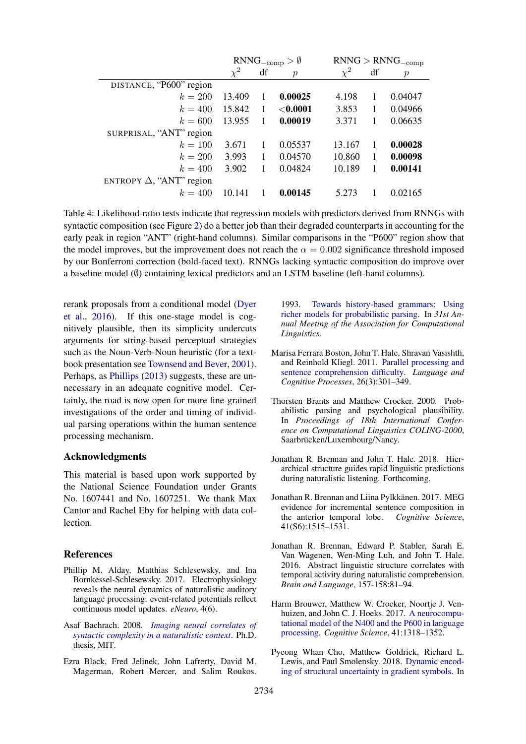<span id="page-7-9"></span>

|                                 | $RNNG_{-comp} > \emptyset$ |    |               | $RNNG > RNNG_{-comp}$ |    |               |
|---------------------------------|----------------------------|----|---------------|-----------------------|----|---------------|
|                                 | $\chi^2$                   | df | $\mathcal{p}$ | $\chi^2$              | df | $\mathcal{p}$ |
| DISTANCE, "P600" region         |                            |    |               |                       |    |               |
| $k = 200$                       | 13.409                     | 1  | 0.00025       | 4.198                 | 1  | 0.04047       |
| $k = 400$                       | 15.842                     | 1  | ${<}0.0001$   | 3.853                 | 1  | 0.04966       |
| $k = 600$                       | 13.955                     | 1  | 0.00019       | 3.371                 | 1  | 0.06635       |
| SURPRISAL, "ANT" region         |                            |    |               |                       |    |               |
| $k = 100$                       | 3.671                      | 1  | 0.05537       | 13.167                | 1  | 0.00028       |
| $k = 200$                       | 3.993                      | 1  | 0.04570       | 10.860                | 1  | 0.00098       |
| $k = 400$                       | 3.902                      |    | 0.04824       | 10.189                | 1  | 0.00141       |
| ENTROPY $\Delta$ , "ANT" region |                            |    |               |                       |    |               |
| $k = 400$                       | 10.141                     |    | 0.00145       | 5.273                 |    | 0.02165       |

Table 4: Likelihood-ratio tests indicate that regression models with predictors derived from RNNGs with syntactic composition (see Figure [2\)](#page-1-1) do a better job than their degraded counterparts in accounting for the early peak in region "ANT" (right-hand columns). Similar comparisons in the "P600" region show that the model improves, but the improvement does not reach the  $\alpha = 0.002$  significance threshold imposed by our Bonferroni correction (bold-faced text). RNNGs lacking syntactic composition do improve over a baseline model  $(\emptyset)$  containing lexical predictors and an LSTM baseline (left-hand columns).

rerank proposals from a conditional model [\(Dyer](#page-8-3) [et al.,](#page-8-3) [2016\)](#page-8-3). If this one-stage model is cognitively plausible, then its simplicity undercuts arguments for string-based perceptual strategies such as the Noun-Verb-Noun heuristic (for a textbook presentation see [Townsend and Bever,](#page-9-7) [2001\)](#page-9-7). Perhaps, as [Phillips](#page-8-24) [\(2013\)](#page-8-24) suggests, these are unnecessary in an adequate cognitive model. Certainly, the road is now open for more fine-grained investigations of the order and timing of individual parsing operations within the human sentence processing mechanism.

#### Acknowledgments

This material is based upon work supported by the National Science Foundation under Grants No. 1607441 and No. 1607251. We thank Max Cantor and Rachel Eby for helping with data collection.

#### References

- <span id="page-7-8"></span>Phillip M. Alday, Matthias Schlesewsky, and Ina Bornkessel-Schlesewsky. 2017. Electrophysiology reveals the neural dynamics of naturalistic auditory language processing: event-related potentials reflect continuous model updates. *eNeuro*, 4(6).
- <span id="page-7-1"></span>Asaf Bachrach. 2008. *[Imaging neural correlates of](http://hdl.handle.net/1721.1/45900) [syntactic complexity in a naturalistic context](http://hdl.handle.net/1721.1/45900)*. Ph.D. thesis, MIT.
- <span id="page-7-3"></span>Ezra Black, Fred Jelinek, John Lafrerty, David M. Magerman, Robert Mercer, and Salim Roukos.

1993. [Towards history-based grammars: Using](http://www.aclweb.org/anthology/P93-1005) [richer models for probabilistic parsing.](http://www.aclweb.org/anthology/P93-1005) In *31st Annual Meeting of the Association for Computational Linguistics*.

- <span id="page-7-4"></span>Marisa Ferrara Boston, John T. Hale, Shravan Vasishth, and Reinhold Kliegl. 2011. [Parallel processing and](https://doi.org/10.1080/01690965.2010.492228) [sentence comprehension difficulty.](https://doi.org/10.1080/01690965.2010.492228) *Language and Cognitive Processes*, 26(3):301–349.
- <span id="page-7-5"></span>Thorsten Brants and Matthew Crocker. 2000. Probabilistic parsing and psychological plausibility. In *Proceedings of 18th International Conference on Computational Linguistics COLING-2000*, Saarbrücken/Luxembourg/Nancy.
- <span id="page-7-7"></span>Jonathan R. Brennan and John T. Hale. 2018. Hierarchical structure guides rapid linguistic predictions during naturalistic listening. Forthcoming.
- <span id="page-7-2"></span>Jonathan R. Brennan and Liina Pylkkänen. 2017. MEG evidence for incremental sentence composition in the anterior temporal lobe. *Cognitive Science*, 41(S6):1515–1531.
- <span id="page-7-0"></span>Jonathan R. Brennan, Edward P. Stabler, Sarah E. Van Wagenen, Wen-Ming Luh, and John T. Hale. 2016. Abstract linguistic structure correlates with temporal activity during naturalistic comprehension. *Brain and Language*, 157-158:81–94.
- <span id="page-7-10"></span>Harm Brouwer, Matthew W. Crocker, Noortje J. Venhuizen, and John C. J. Hoeks. 2017. [A neurocompu](https://doi.org/10.1111/cogs.12461)[tational model of the N400 and the P600 in language](https://doi.org/10.1111/cogs.12461) [processing.](https://doi.org/10.1111/cogs.12461) *Cognitive Science*, 41:1318–1352.
- <span id="page-7-6"></span>Pyeong Whan Cho, Matthew Goldrick, Richard L. Lewis, and Paul Smolensky. 2018. [Dynamic encod](http://aclweb.org/anthology/W18-0103)[ing of structural uncertainty in gradient symbols.](http://aclweb.org/anthology/W18-0103) In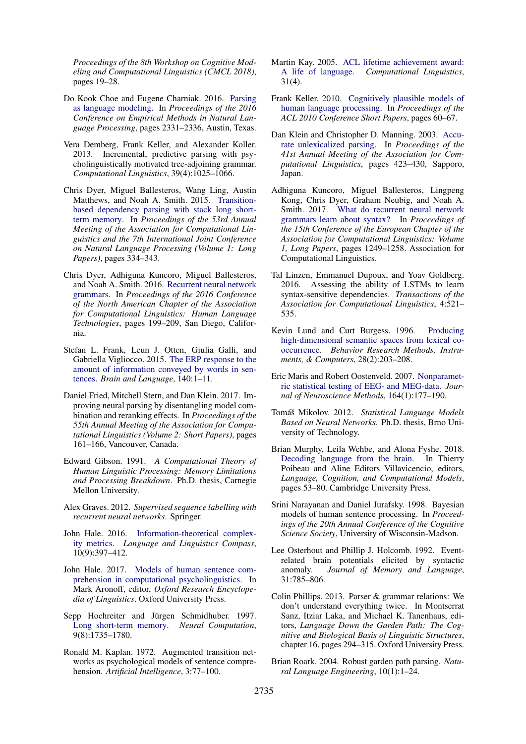*Proceedings of the 8th Workshop on Cognitive Modeling and Computational Linguistics (CMCL 2018)*, pages 19–28.

- <span id="page-8-22"></span>Do Kook Choe and Eugene Charniak. 2016. [Parsing](https://aclweb.org/anthology/D16-1257) [as language modeling.](https://aclweb.org/anthology/D16-1257) In *Proceedings of the 2016 Conference on Empirical Methods in Natural Language Processing*, pages 2331–2336, Austin, Texas.
- <span id="page-8-10"></span>Vera Demberg, Frank Keller, and Alexander Koller. 2013. Incremental, predictive parsing with psycholinguistically motivated tree-adjoining grammar. *Computational Linguistics*, 39(4):1025–1066.
- <span id="page-8-12"></span>Chris Dyer, Miguel Ballesteros, Wang Ling, Austin Matthews, and Noah A. Smith. 2015. [Transition](https://doi.org/10.3115/v1/P15-1033)[based dependency parsing with stack long short](https://doi.org/10.3115/v1/P15-1033)[term memory.](https://doi.org/10.3115/v1/P15-1033) In *Proceedings of the 53rd Annual Meeting of the Association for Computational Linguistics and the 7th International Joint Conference on Natural Language Processing (Volume 1: Long Papers)*, pages 334–343.
- <span id="page-8-3"></span>Chris Dyer, Adhiguna Kuncoro, Miguel Ballesteros, and Noah A. Smith. 2016. [Recurrent neural network](http://www.aclweb.org/anthology/N16-1024) [grammars.](http://www.aclweb.org/anthology/N16-1024) In *Proceedings of the 2016 Conference of the North American Chapter of the Association for Computational Linguistics: Human Language Technologies*, pages 199–209, San Diego, California.
- <span id="page-8-9"></span>Stefan L. Frank, Leun J. Otten, Giulia Galli, and Gabriella Vigliocco. 2015. [The ERP response to the](https://doi.org/10.1016/j.bandl.2014.10.006) [amount of information conveyed by words in sen](https://doi.org/10.1016/j.bandl.2014.10.006)[tences.](https://doi.org/10.1016/j.bandl.2014.10.006) *Brain and Language*, 140:1–11.
- <span id="page-8-15"></span>Daniel Fried, Mitchell Stern, and Dan Klein. 2017. Improving neural parsing by disentangling model combination and reranking effects. In *Proceedings of the 55th Annual Meeting of the Association for Computational Linguistics (Volume 2: Short Papers)*, pages 161–166, Vancouver, Canada.
- <span id="page-8-13"></span>Edward Gibson. 1991. *A Computational Theory of Human Linguistic Processing: Memory Limitations and Processing Breakdown*. Ph.D. thesis, Carnegie Mellon University.
- <span id="page-8-8"></span>Alex Graves. 2012. *Supervised sequence labelling with recurrent neural networks*. Springer.
- <span id="page-8-17"></span>John Hale. 2016. [Information-theoretical complex](https://doi.org/10.1111/lnc3.12196)[ity metrics.](https://doi.org/10.1111/lnc3.12196) *Language and Linguistics Compass*, 10(9):397–412.
- <span id="page-8-1"></span>John Hale. 2017. [Models of human sentence com](https://doi.org/10.1093/acrefore/9780199384655.013.377)[prehension in computational psycholinguistics.](https://doi.org/10.1093/acrefore/9780199384655.013.377) In Mark Aronoff, editor, *Oxford Research Encyclopedia of Linguistics*. Oxford University Press.
- <span id="page-8-6"></span>Sepp Hochreiter and Jürgen Schmidhuber. 1997. [Long short-term memory.](https://doi.org/10.1162/neco.1997.9.8.1735) *Neural Computation*, 9(8):1735–1780.
- <span id="page-8-16"></span>Ronald M. Kaplan. 1972. Augmented transition networks as psychological models of sentence comprehension. *Artificial Intelligence*, 3:77–100.
- <span id="page-8-0"></span>Martin Kay. 2005. [ACL lifetime achievement award:](http://www.aclweb.org/anthology/J05-4001) [A life of language.](http://www.aclweb.org/anthology/J05-4001) *Computational Linguistics*, 31(4).
- <span id="page-8-2"></span>Frank Keller. 2010. [Cognitively plausible models of](http://www.aclweb.org/anthology/P10-2012) [human language processing.](http://www.aclweb.org/anthology/P10-2012) In *Proceedings of the ACL 2010 Conference Short Papers*, pages 60–67.
- <span id="page-8-23"></span>Dan Klein and Christopher D. Manning. 2003. [Accu](https://doi.org/10.3115/1075096.1075150)[rate unlexicalized parsing.](https://doi.org/10.3115/1075096.1075150) In *Proceedings of the 41st Annual Meeting of the Association for Computational Linguistics*, pages 423–430, Sapporo, Japan.
- <span id="page-8-11"></span>Adhiguna Kuncoro, Miguel Ballesteros, Lingpeng Kong, Chris Dyer, Graham Neubig, and Noah A. Smith. 2017. [What do recurrent neural network](http://aclweb.org/anthology/E17-1117) [grammars learn about syntax?](http://aclweb.org/anthology/E17-1117) In *Proceedings of the 15th Conference of the European Chapter of the Association for Computational Linguistics: Volume 1, Long Papers*, pages 1249–1258. Association for Computational Linguistics.
- <span id="page-8-21"></span>Tal Linzen, Emmanuel Dupoux, and Yoav Goldberg. 2016. Assessing the ability of LSTMs to learn syntax-sensitive dependencies. *Transactions of the Association for Computational Linguistics*, 4:521– 535.
- <span id="page-8-19"></span>Kevin Lund and Curt Burgess. 1996. [Producing](https://doi.org/10.3758/BF03204766) [high-dimensional semantic spaces from lexical co](https://doi.org/10.3758/BF03204766)[occurrence.](https://doi.org/10.3758/BF03204766) *Behavior Research Methods, Instruments, & Computers*, 28(2):203–208.
- <span id="page-8-20"></span>Eric Maris and Robert Oostenveld. 2007. [Nonparamet](https://doi.org/10.1016/j.jneumeth.2007.03.024)[ric statistical testing of EEG- and MEG-data.](https://doi.org/10.1016/j.jneumeth.2007.03.024) *Journal of Neuroscience Methods*, 164(1):177–190.
- <span id="page-8-7"></span>Tomáš Mikolov. 2012. Statistical Language Models *Based on Neural Networks*. Ph.D. thesis, Brno University of Technology.
- <span id="page-8-18"></span>Brian Murphy, Leila Wehbe, and Alona Fyshe. 2018. [Decoding language from the brain.](https://doi.org/10.1017/9781316676974.003) In Thierry Poibeau and Aline Editors Villavicencio, editors, *Language, Cognition, and Computational Models*, pages 53–80. Cambridge University Press.
- <span id="page-8-14"></span>Srini Narayanan and Daniel Jurafsky. 1998. Bayesian models of human sentence processing. In *Proceedings of the 20th Annual Conference of the Cognitive Science Society*, University of Wisconsin-Madson.
- <span id="page-8-5"></span>Lee Osterhout and Phillip J. Holcomb. 1992. Eventrelated brain potentials elicited by syntactic anomaly. *Journal of Memory and Language*, 31:785–806.
- <span id="page-8-24"></span>Colin Phillips. 2013. Parser & grammar relations: We don't understand everything twice. In Montserrat Sanz, Itziar Laka, and Michael K. Tanenhaus, editors, *Language Down the Garden Path: The Cognitive and Biological Basis of Linguistic Structures*, chapter 16, pages 294–315. Oxford University Press.
- <span id="page-8-4"></span>Brian Roark. 2004. Robust garden path parsing. *Natural Language Engineering*, 10(1):1–24.